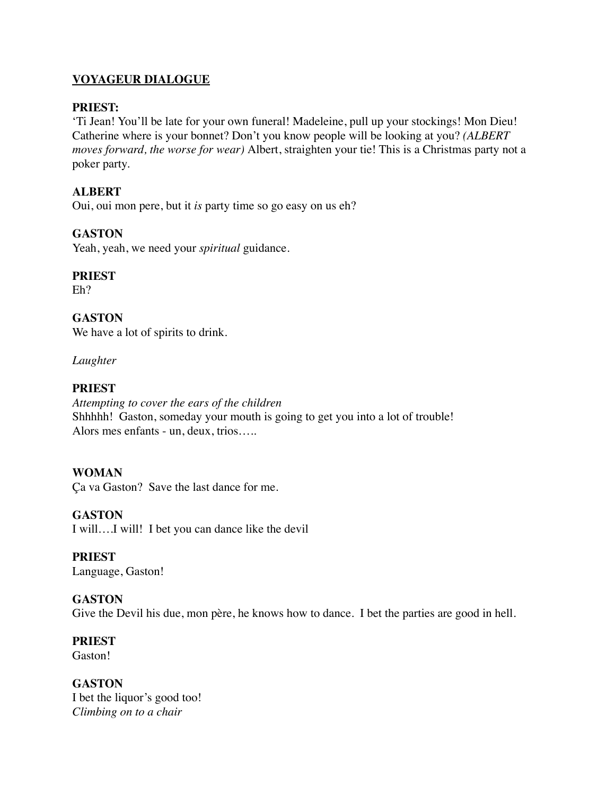# **VOYAGEUR DIALOGUE**

#### **PRIEST:**

'Ti Jean! You'll be late for your own funeral! Madeleine, pull up your stockings! Mon Dieu! Catherine where is your bonnet? Don't you know people will be looking at you? *(ALBERT moves forward, the worse for wear)* Albert, straighten your tie! This is a Christmas party not a poker party.

### **ALBERT**

Oui, oui mon pere, but it *is* party time so go easy on us eh?

# **GASTON**

Yeah, yeah, we need your *spiritual* guidance.

# **PRIEST**

Eh?

**GASTON**  We have a lot of spirits to drink.

*Laughter*

# **PRIEST**

*Attempting to cover the ears of the children*  Shhhhh! Gaston, someday your mouth is going to get you into a lot of trouble! Alors mes enfants - un, deux, trios…..

# **WOMAN**

Ça va Gaston? Save the last dance for me.

#### **GASTON**

I will….I will! I bet you can dance like the devil

#### **PRIEST**

Language, Gaston!

#### **GASTON**

Give the Devil his due, mon père, he knows how to dance. I bet the parties are good in hell.

#### **PRIEST**

Gaston!

# **GASTON**

I bet the liquor's good too! *Climbing on to a chair*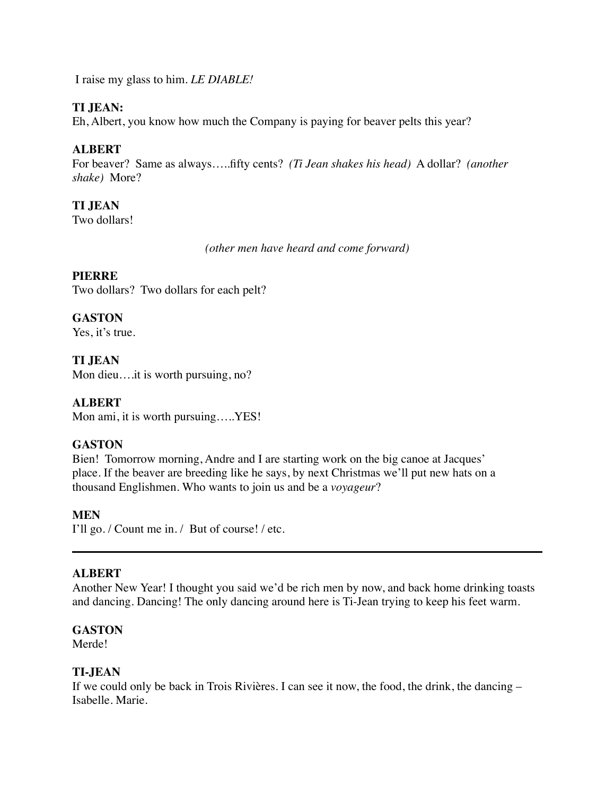I raise my glass to him. *LE DIABLE!*

### **TI JEAN:**

Eh, Albert, you know how much the Company is paying for beaver pelts this year?

# **ALBERT**

For beaver? Same as always…..fifty cents? *(Ti Jean shakes his head)* A dollar? *(another shake)* More?

# **TI JEAN**

Two dollars!

*(other men have heard and come forward)*

#### **PIERRE**

Two dollars? Two dollars for each pelt?

# **GASTON**

Yes, it's true.

# **TI JEAN**

Mon dieu....it is worth pursuing, no?

### **ALBERT**

Mon ami, it is worth pursuing…..YES!

#### **GASTON**

Bien! Tomorrow morning, Andre and I are starting work on the big canoe at Jacques' place. If the beaver are breeding like he says, by next Christmas we'll put new hats on a thousand Englishmen. Who wants to join us and be a *voyageur*?

#### **MEN**

I'll go. / Count me in. / But of course! / etc.

#### **ALBERT**

Another New Year! I thought you said we'd be rich men by now, and back home drinking toasts and dancing. Dancing! The only dancing around here is Ti-Jean trying to keep his feet warm.

#### **GASTON**

Merde!

#### **TI-JEAN**

If we could only be back in Trois Rivières. I can see it now, the food, the drink, the dancing – Isabelle. Marie.